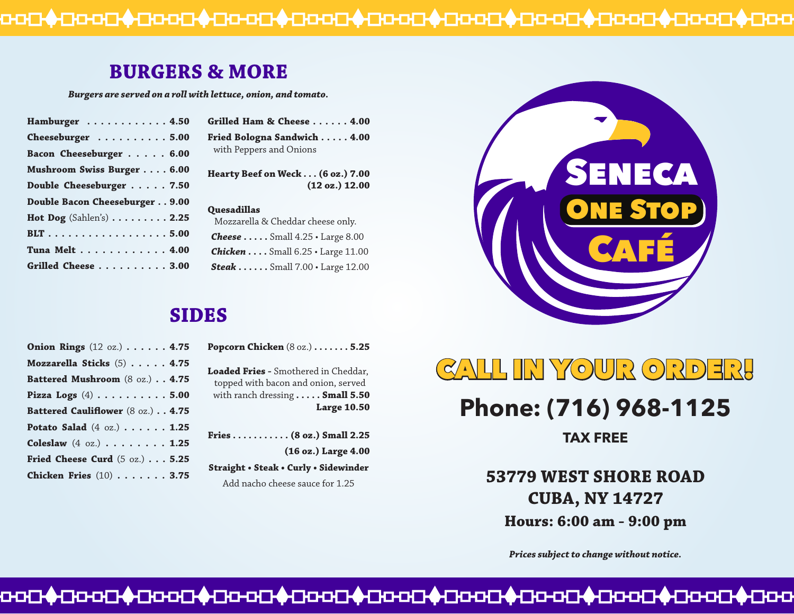## **BURGERS & MORE**

*Burgers are served on a roll with lettuce, onion, and tomato.*

| Hamburger 4.50                 |
|--------------------------------|
| Cheeseburger 5.00              |
| Bacon Cheeseburger 6.00        |
| Mushroom Swiss Burger 6.00     |
| Double Cheeseburger 7.50       |
| Double Bacon Cheeseburger 9.00 |
| Hot Dog $(Sahlen's)$ 2.25      |
| BLT 5.00                       |
| Tuna Melt 4.00                 |
| Grilled Cheese 3.00            |

| Grilled Ham & Cheese 4.00   |
|-----------------------------|
| Fried Bologna Sandwich 4.00 |
| with Peppers and Onions     |

**Hearty Beef on Weck . . . (6 oz.) 7.00 (12 oz.) 12.00**

#### **Quesadillas**

| Mozzarella & Cheddar cheese only. |                                               |  |
|-----------------------------------|-----------------------------------------------|--|
|                                   | <b>Cheese</b> Small $4.25 \cdot$ Large $8.00$ |  |
|                                   | <b>Chicken</b> Small $6.25 \cdot$ Large 11.00 |  |
|                                   | <b>Steak</b> Small $7.00 \cdot$ Large $12.00$ |  |

### **SIDES**

| <b>Onion Rings</b> (12 oz.) 4.75                                    |
|---------------------------------------------------------------------|
| Mozzarella Sticks (5) 4.75                                          |
| Battered Mushroom (8 oz.) 4.75                                      |
| Pizza Logs $(4)$ 5.00                                               |
| Battered Cauliflower (8 oz.) 4.75                                   |
| Potato Salad $(4 \text{ oz.}) \cdot \cdot \cdot \cdot \cdot 1.25$   |
| Coleslaw $(4 \text{ oz.}) \cdot \cdot \cdot \cdot \cdot \cdot 1.25$ |
| Fried Cheese Curd $(5 \text{ oz.}) \ldots 5.25$                     |
| Chicken Fries $(10)$ 3.75                                           |

**Popcorn Chicken** (8 oz.) **. . . . . . . 5.25**

**Loaded Fries -** Smothered in Cheddar, topped with bacon and onion, served with ranch dressing **. . . . . Small 5.50 Large 10.50**

**Fries . . . . . . . . . . . (8 oz.) Small 2.25 (16 oz.) Large 4.00 Straight • Steak • Curly • Sidewinder** Add nacho cheese sauce for 1.25



# CALL IN YOUR ORDER!

# **Phone: (716) 968-1125**

**TAX FREE**

**53779 WEST SHORE ROAD CUBA, NY 14727 Hours: 6:00 am - 9:00 pm**

*Prices subject to change without notice.*

##